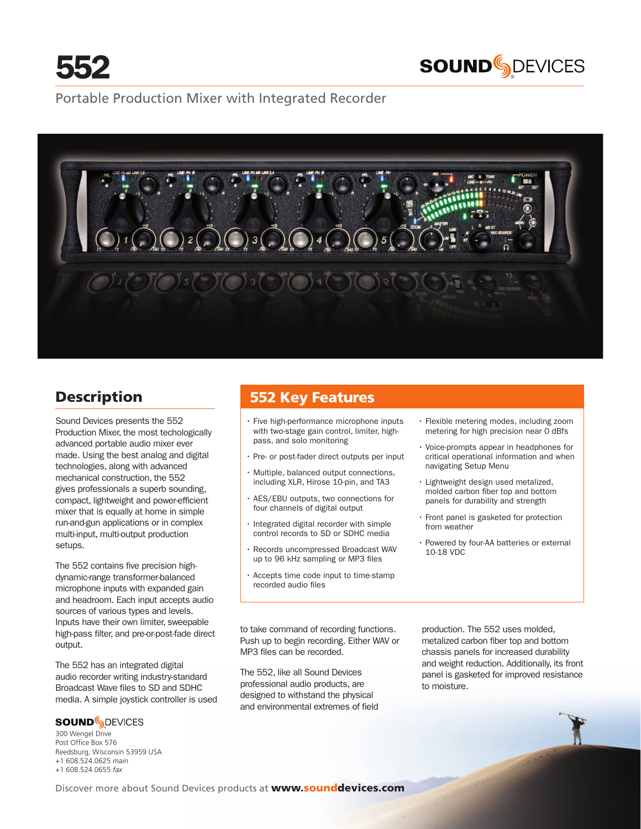



## Portable Production Mixer with Integrated Recorder



# **Description**

Sound Devices presents the 552 Production Mixer, the most techologically advanced portable audio mixer ever made. Using the best analog and digital technologies, along with advanced mechanical construction, the 552 gives professionals a superb sounding, compact, lightweight and power-efficient mixer that is equally at home in simple run-and-gun applications or in complex multi-input, multi-output production setups.

The 552 contains five precision highdynamic-range transformer-balanced microphone inputs with expanded gain and headroom. Each input accepts audio sources of various types and levels. Inputs have their own limiter, sweepable high-pass filter, and pre-or-post-fade direct output.

The 552 has an integrated digital audio recorder writing industry-standard Broadcast Wave files to SD and SDHC media. A simple joystick controller is used

## **SOUND**SDEVICES

® 300 Wengel Drive Post Office Box 576 Reedsburg, Wisconsin 53959 USA +1 608.524.0625 *main* +1 608.524.0655 *fax*

# 552 Key Features

- Five high-performance microphone inputs with two-stage gain control, limiter, highpass, and solo monitoring
- • Pre- or post-fader direct outputs per input
- • Multiple, balanced output connections, including XLR, Hirose 10-pin, and TA3
- • AES/EBU outputs, two connections for four channels of digital output
- • Integrated digital recorder with simple control records to SD or SDHC media
- • Records uncompressed Broadcast WAV up to 96 kHz sampling or MP3 files
- • Accepts time code input to time-stamp recorded audio files
- Flexible metering modes, including zoom metering for high precision near 0 dBfs
- • Voice-prompts appear in headphones for critical operational information and when navigating Setup Menu
- • Lightweight design used metalized, molded carbon fiber top and bottom panels for durability and strength
- • Front panel is gasketed for protection from weather
- • Powered by four-AA batteries or external 10-18 VDC

to take command of recording functions. Push up to begin recording. Either WAV or MP3 files can be recorded.

The 552, like all Sound Devices professional audio products, are designed to withstand the physical and environmental extremes of field

production. The 552 uses molded, metalized carbon fiber top and bottom chassis panels for increased durability and weight reduction. Additionally, its front panel is gasketed for improved resistance to moisture.

Discover more about Sound Devices products at **www.sounddevices.com**